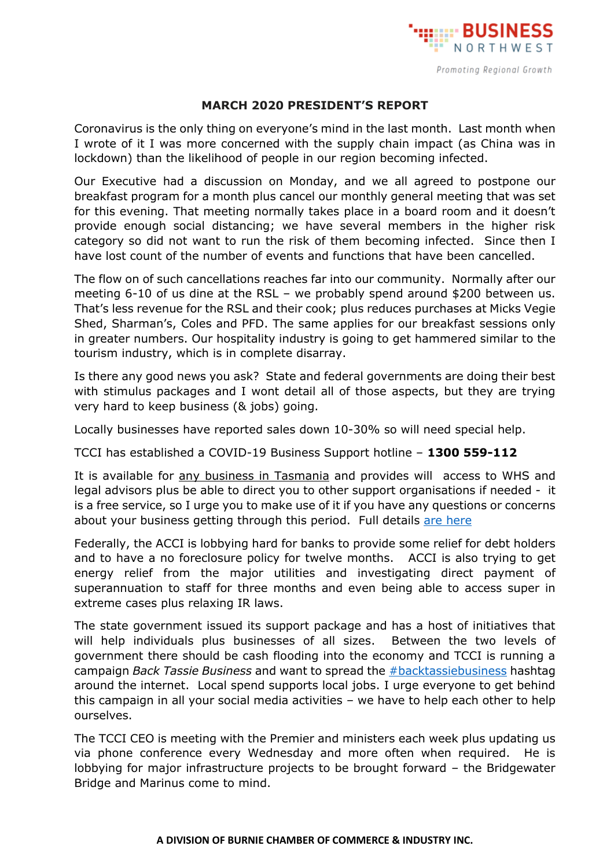

## **MARCH 2020 PRESIDENT'S REPORT**

Coronavirus is the only thing on everyone's mind in the last month. Last month when I wrote of it I was more concerned with the supply chain impact (as China was in lockdown) than the likelihood of people in our region becoming infected.

Our Executive had a discussion on Monday, and we all agreed to postpone our breakfast program for a month plus cancel our monthly general meeting that was set for this evening. That meeting normally takes place in a board room and it doesn't provide enough social distancing; we have several members in the higher risk category so did not want to run the risk of them becoming infected. Since then I have lost count of the number of events and functions that have been cancelled.

The flow on of such cancellations reaches far into our community. Normally after our meeting 6-10 of us dine at the RSL – we probably spend around \$200 between us. That's less revenue for the RSL and their cook; plus reduces purchases at Micks Vegie Shed, Sharman's, Coles and PFD. The same applies for our breakfast sessions only in greater numbers. Our hospitality industry is going to get hammered similar to the tourism industry, which is in complete disarray.

Is there any good news you ask? State and federal governments are doing their best with stimulus packages and I wont detail all of those aspects, but they are trying very hard to keep business (& jobs) going.

Locally businesses have reported sales down 10-30% so will need special help.

TCCI has established a COVID-19 Business Support hotline – **1300 559-112**

It is available for any business in Tasmania and provides will access to WHS and legal advisors plus be able to direct you to other support organisations if needed - it is a free service, so I urge you to make use of it if you have any questions or concerns about your business getting through this period. Full details [are here](http://www.tcci.com.au/Services/COVID-19-Business-Resources)

Federally, the ACCI is lobbying hard for banks to provide some relief for debt holders and to have a no foreclosure policy for twelve months. ACCI is also trying to get energy relief from the major utilities and investigating direct payment of superannuation to staff for three months and even being able to access super in extreme cases plus relaxing IR laws.

The state government issued its support package and has a host of initiatives that will help individuals plus businesses of all sizes. Between the two levels of government there should be cash flooding into the economy and TCCI is running a campaign *Back Tassie Business* and want to spread the [#backtassiebusiness](https://www.facebook.com/hashtag/backtassiebusiness?source=feed_text&epa=HASHTAG&__xts__%5B0%5D=68.ARCnj3_obTxYfcIev-ohHEFLWe9acI7pj7QU5J9d3oGv86XyimjJy85wqv3BF4Eul0QmafbafijiAQO9l9EpSWXyCb2UshfNptDNrMueC61yn7wWpwAQ-bWOQKBajcZ7W1yXEh3K2OJJWPBTHGIpULiGXzFwnIldGXXMoMR3pOs1iul8-LeApDofRyM_Xgvicbkw8FLfTr0jVNQRDrJl3szu60qX54IYoV9CklXyjvlNuMsZ7SGBPL0mL_-4zVZ8sY3DYqFl00awZDjE_fqkvIL9_MwuUccRSSJW3_w5z4KLpILlVAhXUFP5GnqjeL2MQrbCu_y2dAU_KxWiqIitdAZPf3X1Ntflok2qCGK0XfVgIyXb6FzQGXoirJaV9FE7Gv5sVk_zXpUC2sAq137ss3go0TAIlODpSyh3P34g4T0dH7A76ZzzntKHEIvI1QWcTOQYZjPUysAC3z_IIsZrydpjDGoWp6ofIfqcdYg&__tn__=%2ANKH-R) hashtag around the internet. Local spend supports local jobs. I urge everyone to get behind this campaign in all your social media activities – we have to help each other to help ourselves.

The TCCI CEO is meeting with the Premier and ministers each week plus updating us via phone conference every Wednesday and more often when required. He is lobbying for major infrastructure projects to be brought forward – the Bridgewater Bridge and Marinus come to mind.